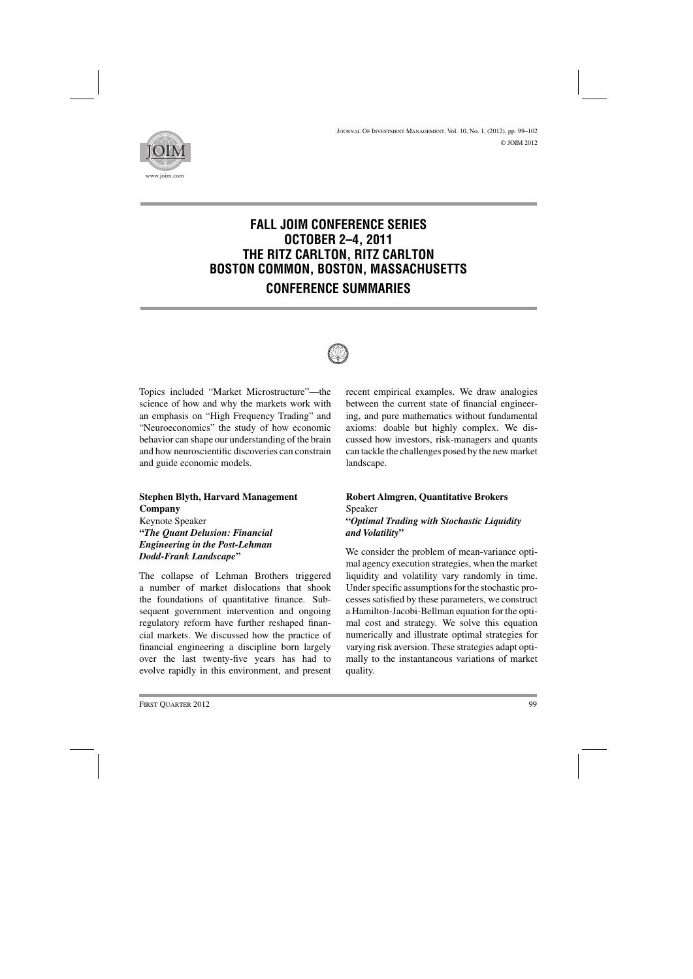

# **FALL JOIM CONFERENCE SERIES OCTOBER 2–4, 2011 THE RITZ CARLTON, RITZ CARLTON BOSTON COMMON, BOSTON, MASSACHUSETTS CONFERENCE SUMMARIES**



Topics included "Market Microstructure"—the science of how and why the markets work with an emphasis on "High Frequency Trading" and "Neuroeconomics" the study of how economic behavior can shape our understanding of the brain and how neuroscientific discoveries can constrain and guide economic models.

# **Stephen Blyth, Harvard Management Company**

Keynote Speaker **"***The Quant Delusion: Financial Engineering in the Post-Lehman Dodd-Frank Landscape***"**

The collapse of Lehman Brothers triggered a number of market dislocations that shook the foundations of quantitative finance. Subsequent government intervention and ongoing regulatory reform have further reshaped financial markets. We discussed how the practice of financial engineering a discipline born largely over the last twenty-five years has had to evolve rapidly in this environment, and present recent empirical examples. We draw analogies between the current state of financial engineering, and pure mathematics without fundamental axioms: doable but highly complex. We discussed how investors, risk-managers and quants can tackle the challenges posed by the new market landscape.

## **Robert Almgren, Quantitative Brokers** Speaker **"***Optimal Trading with Stochastic Liquidity and Volatility***"**

We consider the problem of mean-variance optimal agency execution strategies, when the market liquidity and volatility vary randomly in time. Under specific assumptions for the stochastic processes satisfied by these parameters, we construct a Hamilton-Jacobi-Bellman equation for the optimal cost and strategy. We solve this equation numerically and illustrate optimal strategies for varying risk aversion. These strategies adapt optimally to the instantaneous variations of market quality.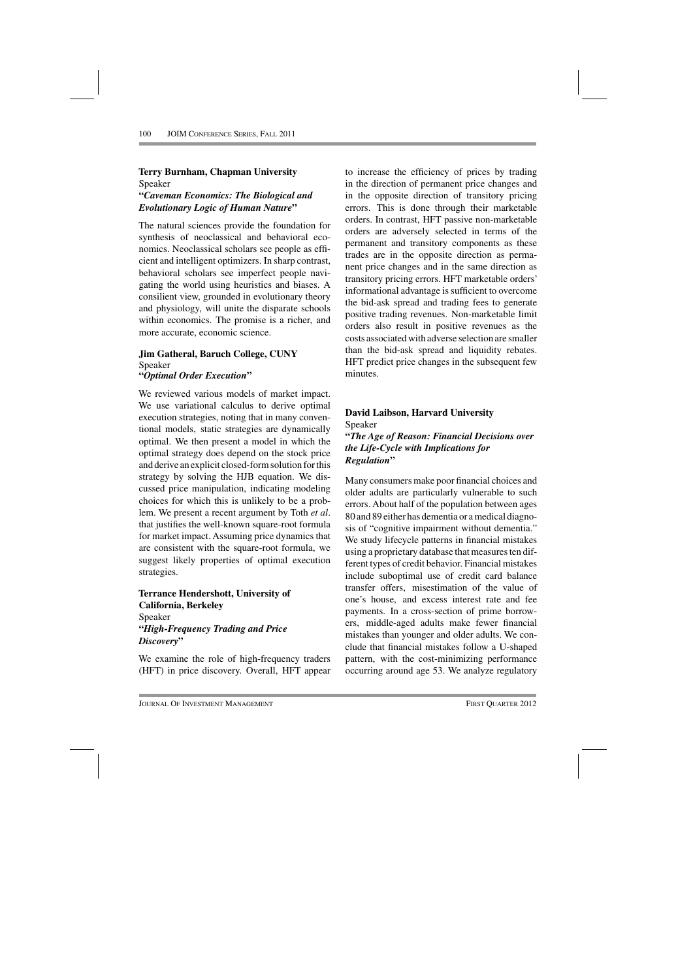#### **Terry Burnham, Chapman University** Speaker **"***Caveman Economics: The Biological and Evolutionary Logic of Human Nature***"**

The natural sciences provide the foundation for synthesis of neoclassical and behavioral economics. Neoclassical scholars see people as efficient and intelligent optimizers. In sharp contrast, behavioral scholars see imperfect people navigating the world using heuristics and biases. A consilient view, grounded in evolutionary theory and physiology, will unite the disparate schools within economics. The promise is a richer, and more accurate, economic science.

#### **Jim Gatheral, Baruch College, CUNY** Speaker **"***Optimal Order Execution***"**

We reviewed various models of market impact. We use variational calculus to derive optimal execution strategies, noting that in many conventional models, static strategies are dynamically optimal. We then present a model in which the optimal strategy does depend on the stock price and derive an explicit closed-form solution for this strategy by solving the HJB equation. We discussed price manipulation, indicating modeling choices for which this is unlikely to be a problem. We present a recent argument by Toth *et al*. that justifies the well-known square-root formula for market impact. Assuming price dynamics that are consistent with the square-root formula, we suggest likely properties of optimal execution strategies.

#### **Terrance Hendershott, University of California, Berkeley** Speaker **"***High-Frequency Trading and Price Discovery***"**

We examine the role of high-frequency traders (HFT) in price discovery. Overall, HFT appear to increase the efficiency of prices by trading in the direction of permanent price changes and in the opposite direction of transitory pricing errors. This is done through their marketable orders. In contrast, HFT passive non-marketable orders are adversely selected in terms of the permanent and transitory components as these trades are in the opposite direction as permanent price changes and in the same direction as transitory pricing errors. HFT marketable orders' informational advantage is sufficient to overcome the bid-ask spread and trading fees to generate positive trading revenues. Non-marketable limit orders also result in positive revenues as the costs associated with adverse selection are smaller than the bid-ask spread and liquidity rebates. HFT predict price changes in the subsequent few minutes.

# **David Laibson, Harvard University** Speaker **"***The Age of Reason: Financial Decisions over the Life-Cycle with Implications for Regulation***"**

Many consumers make poor financial choices and older adults are particularly vulnerable to such errors. About half of the population between ages 80 and 89 either has dementia or a medical diagnosis of "cognitive impairment without dementia." We study lifecycle patterns in financial mistakes using a proprietary database that measures ten different types of credit behavior. Financial mistakes include suboptimal use of credit card balance transfer offers, misestimation of the value of one's house, and excess interest rate and fee payments. In a cross-section of prime borrowers, middle-aged adults make fewer financial mistakes than younger and older adults. We conclude that financial mistakes follow a U-shaped pattern, with the cost-minimizing performance occurring around age 53. We analyze regulatory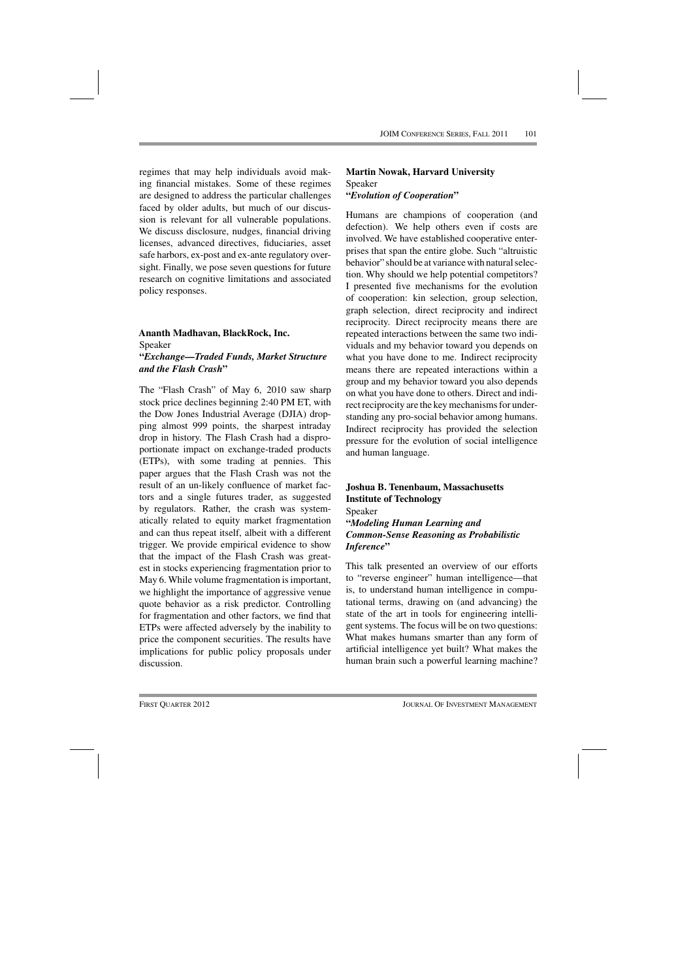regimes that may help individuals avoid making financial mistakes. Some of these regimes are designed to address the particular challenges faced by older adults, but much of our discussion is relevant for all vulnerable populations. We discuss disclosure, nudges, financial driving licenses, advanced directives, fiduciaries, asset safe harbors, ex-post and ex-ante regulatory oversight. Finally, we pose seven questions for future research on cognitive limitations and associated policy responses.

#### **Ananth Madhavan, BlackRock, Inc.** Speaker **"***Exchange—Traded Funds, Market Structure and the Flash Crash***"**

The "Flash Crash" of May 6, 2010 saw sharp stock price declines beginning 2:40 PM ET, with the Dow Jones Industrial Average (DJIA) dropping almost 999 points, the sharpest intraday drop in history. The Flash Crash had a disproportionate impact on exchange-traded products (ETPs), with some trading at pennies. This paper argues that the Flash Crash was not the result of an un-likely confluence of market factors and a single futures trader, as suggested by regulators. Rather, the crash was systematically related to equity market fragmentation and can thus repeat itself, albeit with a different trigger. We provide empirical evidence to show that the impact of the Flash Crash was greatest in stocks experiencing fragmentation prior to May 6. While volume fragmentation is important, we highlight the importance of aggressive venue quote behavior as a risk predictor. Controlling for fragmentation and other factors, we find that ETPs were affected adversely by the inability to price the component securities. The results have implications for public policy proposals under discussion.

## **Martin Nowak, Harvard University** Speaker **"***Evolution of Cooperation***"**

Humans are champions of cooperation (and defection). We help others even if costs are involved. We have established cooperative enterprises that span the entire globe. Such "altruistic behavior" should be at variance with natural selection. Why should we help potential competitors? I presented five mechanisms for the evolution of cooperation: kin selection, group selection, graph selection, direct reciprocity and indirect reciprocity. Direct reciprocity means there are repeated interactions between the same two individuals and my behavior toward you depends on what you have done to me. Indirect reciprocity means there are repeated interactions within a group and my behavior toward you also depends on what you have done to others. Direct and indirect reciprocity are the key mechanisms for understanding any pro-social behavior among humans. Indirect reciprocity has provided the selection pressure for the evolution of social intelligence and human language.

### **Joshua B. Tenenbaum, Massachusetts Institute of Technology** Speaker **"***Modeling Human Learning and Common-Sense Reasoning as Probabilistic Inference***"**

This talk presented an overview of our efforts to "reverse engineer" human intelligence—that is, to understand human intelligence in computational terms, drawing on (and advancing) the state of the art in tools for engineering intelligent systems. The focus will be on two questions: What makes humans smarter than any form of artificial intelligence yet built? What makes the human brain such a powerful learning machine?